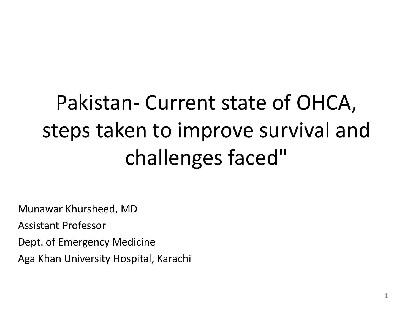# Pakistan- Current state of OHCA, steps taken to improve survival and challenges faced"

Munawar Khursheed, MD

Assistant Professor

Dept. of Emergency Medicine

Aga Khan University Hospital, Karachi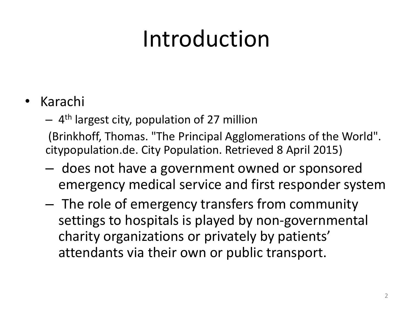# Introduction

### • Karachi

– 4 th largest city, population of 27 million

(Brinkhoff, Thomas. "The Principal Agglomerations of the World". citypopulation.de. City Population. Retrieved 8 April 2015)

- does not have a government owned or sponsored emergency medical service and first responder system
- The role of emergency transfers from community settings to hospitals is played by non-governmental charity organizations or privately by patients' attendants via their own or public transport.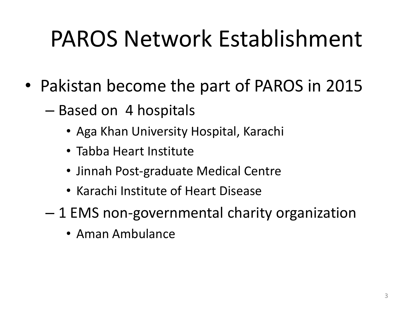# PAROS Network Establishment

- Pakistan become the part of PAROS in 2015
	- Based on 4 hospitals
		- Aga Khan University Hospital, Karachi
		- Tabba Heart Institute
		- Jinnah Post-graduate Medical Centre
		- Karachi Institute of Heart Disease
	- 1 EMS non-governmental charity organization
		- Aman Ambulance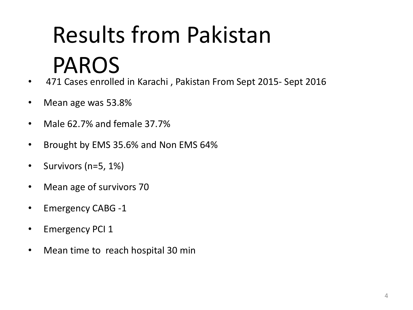# Results from Pakistan PAROS

- 471 Cases enrolled in Karachi , Pakistan From Sept 2015- Sept 2016
- Mean age was 53.8%
- Male 62.7% and female 37.7%
- Brought by EMS 35.6% and Non EMS 64%
- Survivors (n=5, 1%)
- Mean age of survivors 70
- Emergency CABG -1
- Emergency PCI 1
- Mean time to reach hospital 30 min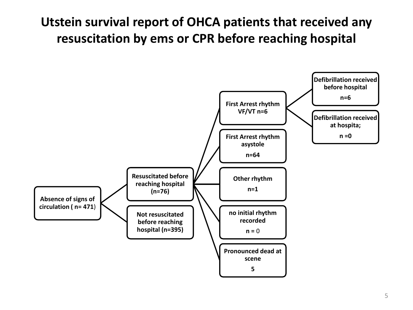#### **Utstein survival report of OHCA patients that received any resuscitation by ems or CPR before reaching hospital**

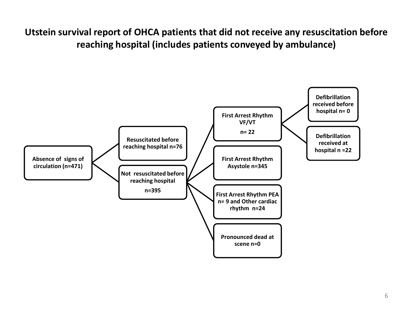**Utstein survival report of OHCA patients that did not receive any resuscitation before reaching hospital (includes patients conveyed by ambulance)**

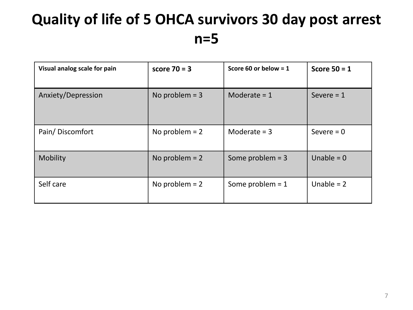## **Quality of life of 5 OHCA survivors 30 day post arrest n=5**

| Visual analog scale for pain | score $70 = 3$   | Score 60 or below = $1$ | Score $50 = 1$ |
|------------------------------|------------------|-------------------------|----------------|
| Anxiety/Depression           | No problem $=$ 3 | Moderate $= 1$          | Severe $= 1$   |
| Pain/Discomfort              | No problem $= 2$ | Moderate $=$ 3          | Severe $= 0$   |
| Mobility                     | No problem $= 2$ | Some problem $=$ 3      | Unable = $0$   |
| Self care                    | No problem $= 2$ | Some problem $= 1$      | Unable $= 2$   |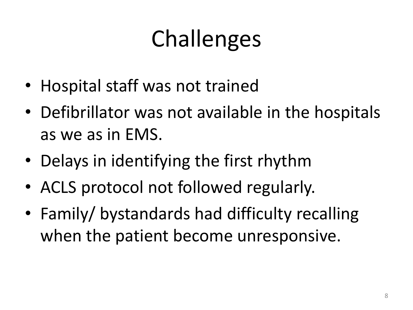# Challenges

- Hospital staff was not trained
- Defibrillator was not available in the hospitals as we as in EMS.
- Delays in identifying the first rhythm
- ACLS protocol not followed regularly.
- Family/ bystandards had difficulty recalling when the patient become unresponsive.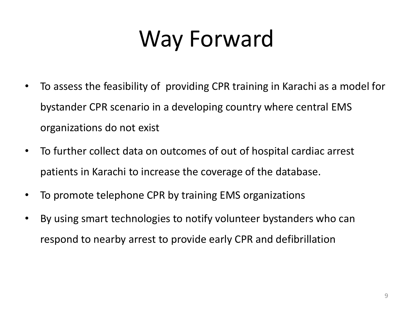# Way Forward

- To assess the feasibility of providing CPR training in Karachi as a model for bystander CPR scenario in a developing country where central EMS organizations do not exist
- To further collect data on outcomes of out of hospital cardiac arrest patients in Karachi to increase the coverage of the database.
- To promote telephone CPR by training EMS organizations
- By using smart technologies to notify volunteer bystanders who can respond to nearby arrest to provide early CPR and defibrillation